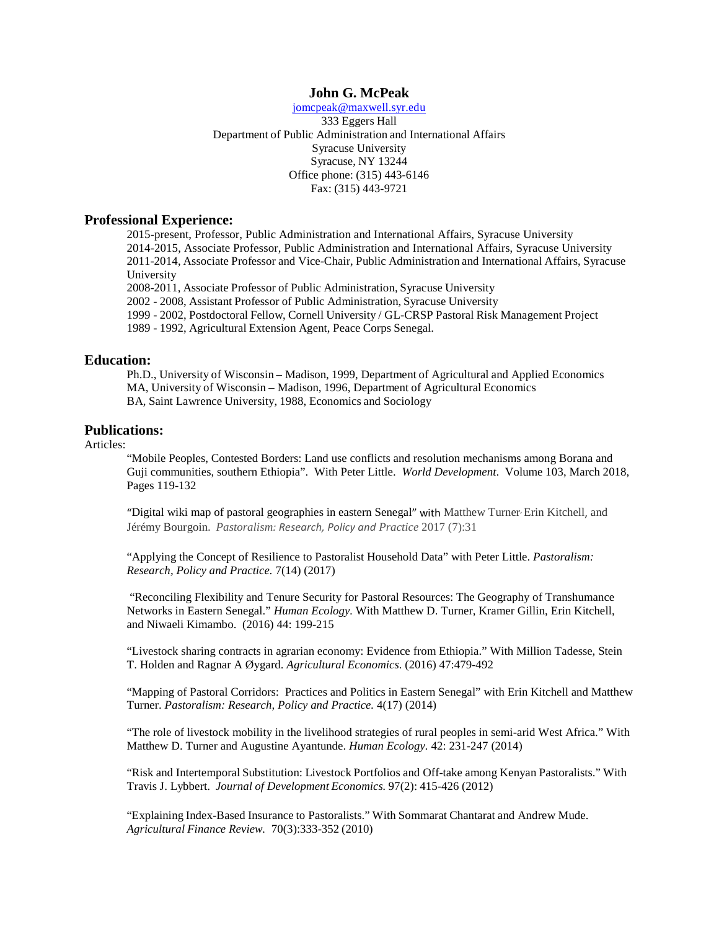# **John G. McPeak**

[jomcpeak@maxwell.syr.edu](mailto:jomcpeak@maxwell.syr.edu) 333 Eggers Hall Department of Public Administration and International Affairs Syracuse University Syracuse, NY 13244 Office phone: (315) 443-6146 Fax: (315) 443-9721

## **Professional Experience:**

2015-present, Professor, Public Administration and International Affairs, Syracuse University 2014-2015, Associate Professor, Public Administration and International Affairs, Syracuse University 2011-2014, Associate Professor and Vice-Chair, Public Administration and International Affairs, Syracuse University

2008-2011, Associate Professor of Public Administration, Syracuse University

2002 - 2008, Assistant Professor of Public Administration, Syracuse University

1999 - 2002, Postdoctoral Fellow, Cornell University / GL-CRSP Pastoral Risk Management Project

1989 - 1992, Agricultural Extension Agent, Peace Corps Senegal.

## **Education:**

Ph.D., University of Wisconsin – Madison, 1999, Department of Agricultural and Applied Economics MA, University of Wisconsin – Madison, 1996, Department of Agricultural Economics BA, Saint Lawrence University, 1988, Economics and Sociology

## **Publications:**

## Articles:

"Mobile Peoples, Contested Borders: Land use conflicts and resolution mechanisms among Borana and Guji communities, southern Ethiopia". With Peter Little. *World Development*. Volume 103, March 2018, Pages 119-132

"Digital wiki map of pastoral geographies in eastern Senegal" with Matthew Turner, Erin Kitchell, and Jérémy Bourgoin. *Pastoralism: Research, Policy and Practice* 2017 (7):31

"Applying the Concept of Resilience to Pastoralist Household Data" with Peter Little. *Pastoralism: Research, Policy and Practice.* 7(14) (2017)

"Reconciling Flexibility and Tenure Security for Pastoral Resources: The Geography of Transhumance Networks in Eastern Senegal." *Human Ecology.* With Matthew D. Turner, Kramer Gillin, Erin Kitchell, and Niwaeli Kimambo. (2016) 44: 199-215

"Livestock sharing contracts in agrarian economy: Evidence from Ethiopia." With Million Tadesse, Stein T. Holden and Ragnar A Øygard. *Agricultural Economics*. (2016) 47:479-492

"Mapping of Pastoral Corridors: Practices and Politics in Eastern Senegal" with Erin Kitchell and Matthew Turner. *Pastoralism: Research, Policy and Practice.* 4(17) (2014)

"The role of livestock mobility in the livelihood strategies of rural peoples in semi-arid West Africa." With Matthew D. Turner and Augustine Ayantunde. *Human Ecology.* 42: 231-247 (2014)

"Risk and Intertemporal Substitution: Livestock Portfolios and Off-take among Kenyan Pastoralists." With Travis J. Lybbert. *Journal of Development Economics.* 97(2): 415-426 (2012)

"Explaining Index-Based Insurance to Pastoralists." With Sommarat Chantarat and Andrew Mude. *Agricultural Finance Review.* 70(3):333-352 (2010)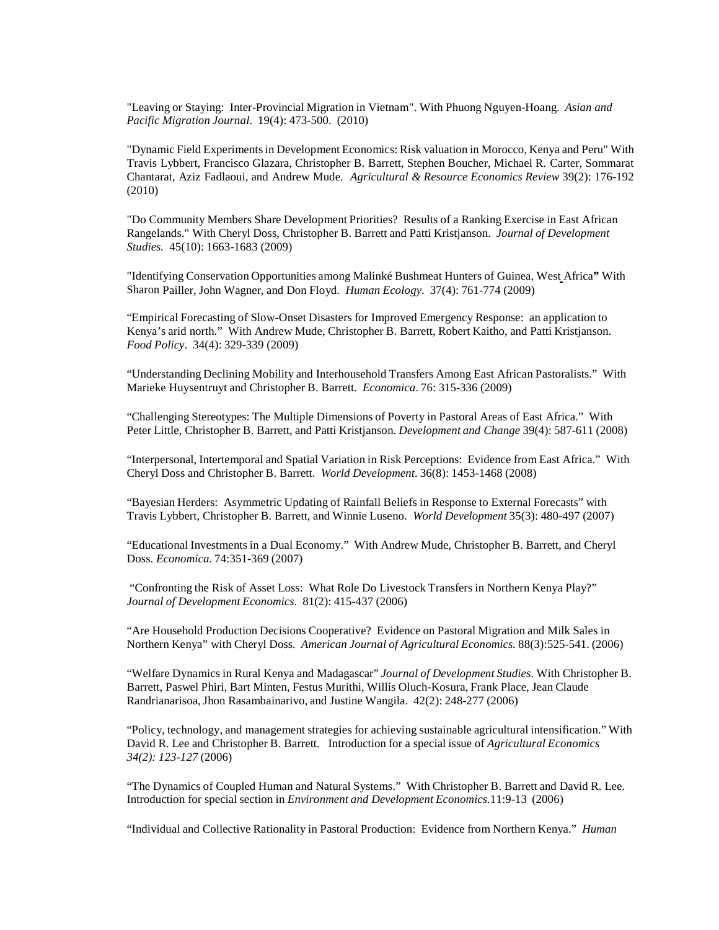"Leaving or Staying: Inter-Provincial Migration in Vietnam". With Phuong Nguyen-Hoang. *Asian and Pacific Migration Journal*. 19(4): 473-500. (2010)

"Dynamic Field Experimentsin Development Economics: Risk valuation in Morocco, Kenya and Peru" With Travis Lybbert, Francisco Glazara, Christopher B. Barrett, Stephen Boucher, Michael R. Carter, Sommarat Chantarat, Aziz Fadlaoui, and Andrew Mude. *Agricultural & Resource Economics Review* 39(2): 176-192 (2010)

"Do Community Members Share Development Priorities? Results of a Ranking Exercise in East African Rangelands." With Cheryl Doss, Christopher B. Barrett and Patti Kristjanson. *Journal of Development Studies.* 45(10): 1663-1683 (2009)

"Identifying Conservation Opportunities among Malinké Bushmeat Hunters of Guinea, West Africa**"** With Sharon Pailler, John Wagner, and Don Floyd. *Human Ecology*. 37(4): 761-774 (2009)

"Empirical Forecasting of Slow-Onset Disasters for Improved Emergency Response: an application to Kenya's arid north." With Andrew Mude, Christopher B. Barrett, Robert Kaitho, and Patti Kristjanson. *Food Policy*. 34(4): 329-339 (2009)

"Understanding Declining Mobility and Interhousehold Transfers Among East African Pastoralists." With Marieke Huysentruyt and Christopher B. Barrett. *Economica*. 76: 315-336 (2009)

"Challenging Stereotypes: The Multiple Dimensions of Poverty in Pastoral Areas of East Africa." With Peter Little, Christopher B. Barrett, and Patti Kristjanson. *Development and Change* 39(4): 587-611 (2008)

"Interpersonal, Intertemporal and Spatial Variation in Risk Perceptions: Evidence from East Africa." With Cheryl Doss and Christopher B. Barrett. *World Development*. 36(8): 1453-1468 (2008)

"Bayesian Herders: Asymmetric Updating of Rainfall Beliefs in Response to External Forecasts" with Travis Lybbert, Christopher B. Barrett, and Winnie Luseno. *World Development* 35(3): 480-497 (2007)

"Educational Investments in a Dual Economy." With Andrew Mude, Christopher B. Barrett, and Cheryl Doss. *Economica.* 74:351-369 (2007)

"Confronting the Risk of Asset Loss: What Role Do Livestock Transfers in Northern Kenya Play?" *Journal of Development Economics*. 81(2): 415-437 (2006)

"Are Household Production Decisions Cooperative? Evidence on Pastoral Migration and Milk Sales in Northern Kenya" with Cheryl Doss. *American Journal of Agricultural Economics.* 88(3):525-541. (2006)

"Welfare Dynamics in Rural Kenya and Madagascar" *Journal of Development Studies*. With Christopher B. Barrett, Paswel Phiri, Bart Minten, Festus Murithi, Willis Oluch-Kosura, Frank Place, Jean Claude Randrianarisoa, Jhon Rasambainarivo, and Justine Wangila. 42(2): 248-277 (2006)

"Policy, technology, and management strategies for achieving sustainable agricultural intensification." With David R. Lee and Christopher B. Barrett. Introduction for a special issue of *Agricultural Economics 34(2): 123-127* (2006)

"The Dynamics of Coupled Human and Natural Systems." With Christopher B. Barrett and David R. Lee. Introduction for special section in *Environment and Development Economics.*11:9-13 (2006)

"Individual and Collective Rationality in Pastoral Production: Evidence from Northern Kenya." *Human*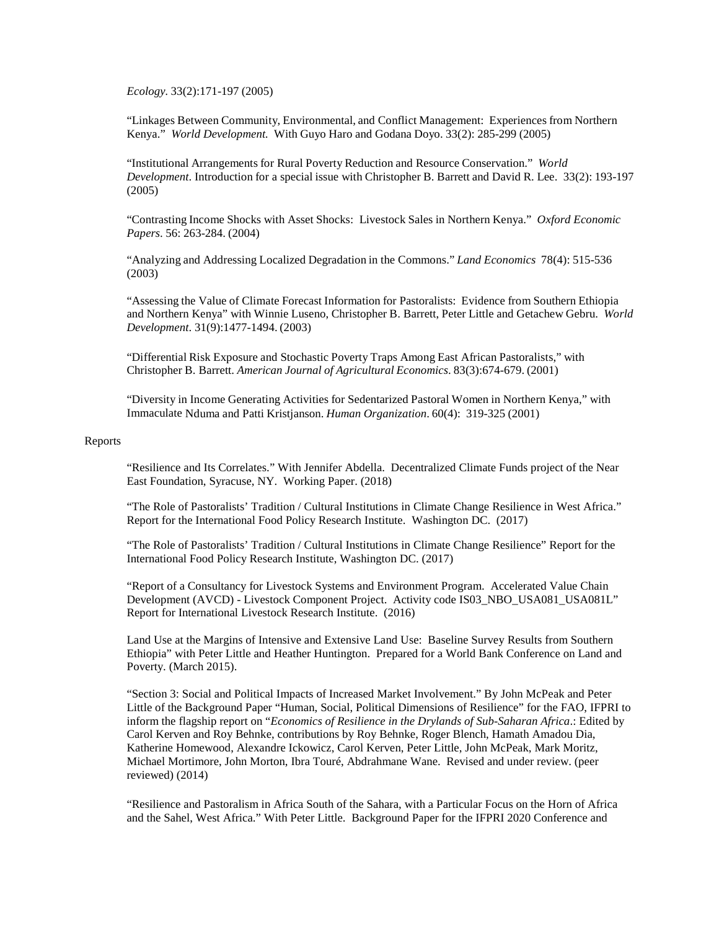*Ecology.* 33(2):171-197 (2005)

"Linkages Between Community, Environmental, and Conflict Management: Experiences from Northern Kenya." *World Development.* With Guyo Haro and Godana Doyo. 33(2): 285-299 (2005)

"Institutional Arrangements for Rural Poverty Reduction and Resource Conservation." *World Development*. Introduction for a special issue with Christopher B. Barrett and David R. Lee. 33(2): 193-197 (2005)

"Contrasting Income Shocks with Asset Shocks: Livestock Sales in Northern Kenya." *Oxford Economic Papers*. 56: 263-284. (2004)

"Analyzing and Addressing Localized Degradation in the Commons." *Land Economics* 78(4): 515-536 (2003)

"Assessing the Value of Climate Forecast Information for Pastoralists: Evidence from Southern Ethiopia and Northern Kenya" with Winnie Luseno, Christopher B. Barrett, Peter Little and Getachew Gebru. *World Development*. 31(9):1477-1494. (2003)

"Differential Risk Exposure and Stochastic Poverty Traps Among East African Pastoralists," with Christopher B. Barrett. *American Journal of Agricultural Economics*. 83(3):674-679. (2001)

"Diversity in Income Generating Activities for Sedentarized Pastoral Women in Northern Kenya," with Immaculate Nduma and Patti Kristjanson. *Human Organization*. 60(4): 319-325 (2001)

### Reports

"Resilience and Its Correlates." With Jennifer Abdella. Decentralized Climate Funds project of the Near East Foundation, Syracuse, NY. Working Paper. (2018)

"The Role of Pastoralists' Tradition / Cultural Institutions in Climate Change Resilience in West Africa." Report for the International Food Policy Research Institute. Washington DC. (2017)

"The Role of Pastoralists' Tradition / Cultural Institutions in Climate Change Resilience" Report for the International Food Policy Research Institute, Washington DC. (2017)

"Report of a Consultancy for Livestock Systems and Environment Program. Accelerated Value Chain Development (AVCD) - Livestock Component Project. Activity code IS03\_NBO\_USA081\_USA081L" Report for International Livestock Research Institute. (2016)

Land Use at the Margins of Intensive and Extensive Land Use: Baseline Survey Results from Southern Ethiopia" with Peter Little and Heather Huntington. Prepared for a World Bank Conference on Land and Poverty. (March 2015).

"Section 3: Social and Political Impacts of Increased Market Involvement." By John McPeak and Peter Little of the Background Paper "Human, Social, Political Dimensions of Resilience" for the FAO, IFPRI to inform the flagship report on "*Economics of Resilience in the Drylands of Sub-Saharan Africa*.: Edited by Carol Kerven and Roy Behnke, contributions by Roy Behnke, Roger Blench, Hamath Amadou Dia, Katherine Homewood, Alexandre Ickowicz, Carol Kerven, Peter Little, John McPeak, Mark Moritz, Michael Mortimore, John Morton, Ibra Touré, Abdrahmane Wane. Revised and under review. (peer reviewed) (2014)

"Resilience and Pastoralism in Africa South of the Sahara, with a Particular Focus on the Horn of Africa and the Sahel, West Africa." With Peter Little. Background Paper for the IFPRI 2020 Conference and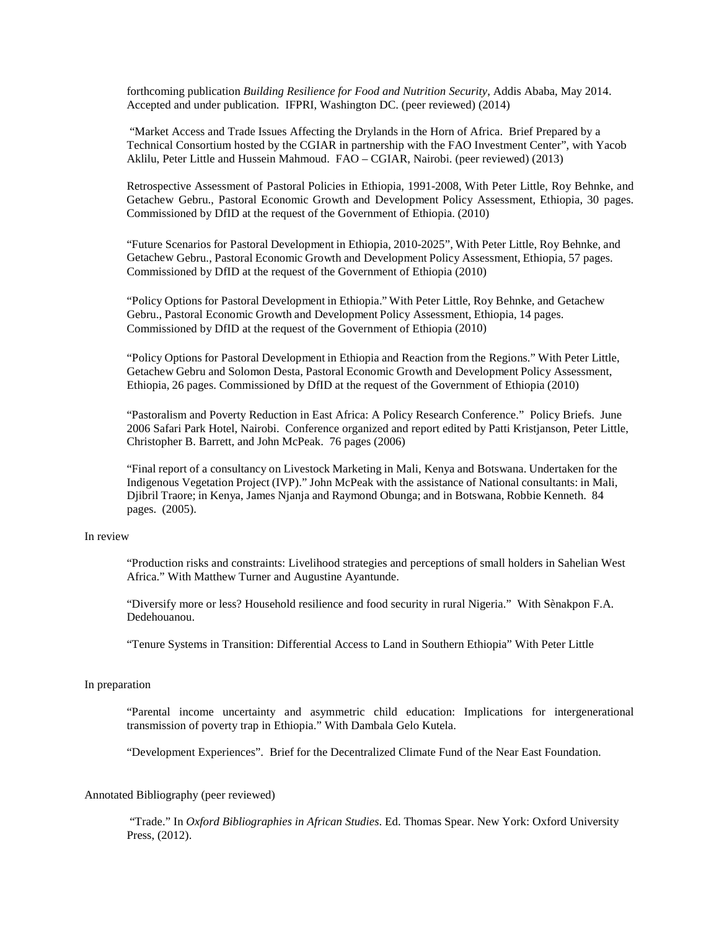forthcoming publication *Building Resilience for Food and Nutrition Security*, Addis Ababa, May 2014. Accepted and under publication. IFPRI, Washington DC. (peer reviewed) (2014)

"Market Access and Trade Issues Affecting the Drylands in the Horn of Africa. Brief Prepared by a Technical Consortium hosted by the CGIAR in partnership with the FAO Investment Center", with Yacob Aklilu, Peter Little and Hussein Mahmoud. FAO – CGIAR, Nairobi. (peer reviewed) (2013)

Retrospective Assessment of Pastoral Policies in Ethiopia, 1991-2008, With Peter Little, Roy Behnke, and Getachew Gebru., Pastoral Economic Growth and Development Policy Assessment, Ethiopia, 30 pages. Commissioned by DfID at the request of the Government of Ethiopia. (2010)

"Future Scenarios for Pastoral Development in Ethiopia, 2010-2025", With Peter Little, Roy Behnke, and Getachew Gebru., Pastoral Economic Growth and Development Policy Assessment, Ethiopia, 57 pages. Commissioned by DfID at the request of the Government of Ethiopia (2010)

"Policy Options for Pastoral Development in Ethiopia." With Peter Little, Roy Behnke, and Getachew Gebru., Pastoral Economic Growth and Development Policy Assessment, Ethiopia, 14 pages. Commissioned by DfID at the request of the Government of Ethiopia (2010)

"Policy Options for Pastoral Development in Ethiopia and Reaction from the Regions." With Peter Little, Getachew Gebru and Solomon Desta, Pastoral Economic Growth and Development Policy Assessment, Ethiopia, 26 pages. Commissioned by DfID at the request of the Government of Ethiopia (2010)

"Pastoralism and Poverty Reduction in East Africa: A Policy Research Conference." Policy Briefs. June 2006 Safari Park Hotel, Nairobi. Conference organized and report edited by Patti Kristjanson, Peter Little, Christopher B. Barrett, and John McPeak. 76 pages (2006)

"Final report of a consultancy on Livestock Marketing in Mali, Kenya and Botswana. Undertaken for the Indigenous Vegetation Project (IVP)." John McPeak with the assistance of National consultants: in Mali, Djibril Traore; in Kenya, James Njanja and Raymond Obunga; and in Botswana, Robbie Kenneth. 84 pages. (2005).

#### In review

"Production risks and constraints: Livelihood strategies and perceptions of small holders in Sahelian West Africa." With Matthew Turner and Augustine Ayantunde.

"Diversify more or less? Household resilience and food security in rural Nigeria." With Sènakpon F.A. Dedehouanou.

"Tenure Systems in Transition: Differential Access to Land in Southern Ethiopia" With Peter Little

#### In preparation

"Parental income uncertainty and asymmetric child education: Implications for intergenerational transmission of poverty trap in Ethiopia." With Dambala Gelo Kutela.

"Development Experiences". Brief for the Decentralized Climate Fund of the Near East Foundation.

### Annotated Bibliography (peer reviewed)

"Trade." In *Oxford Bibliographies in African Studies*. Ed. Thomas Spear. New York: Oxford University Press, (2012).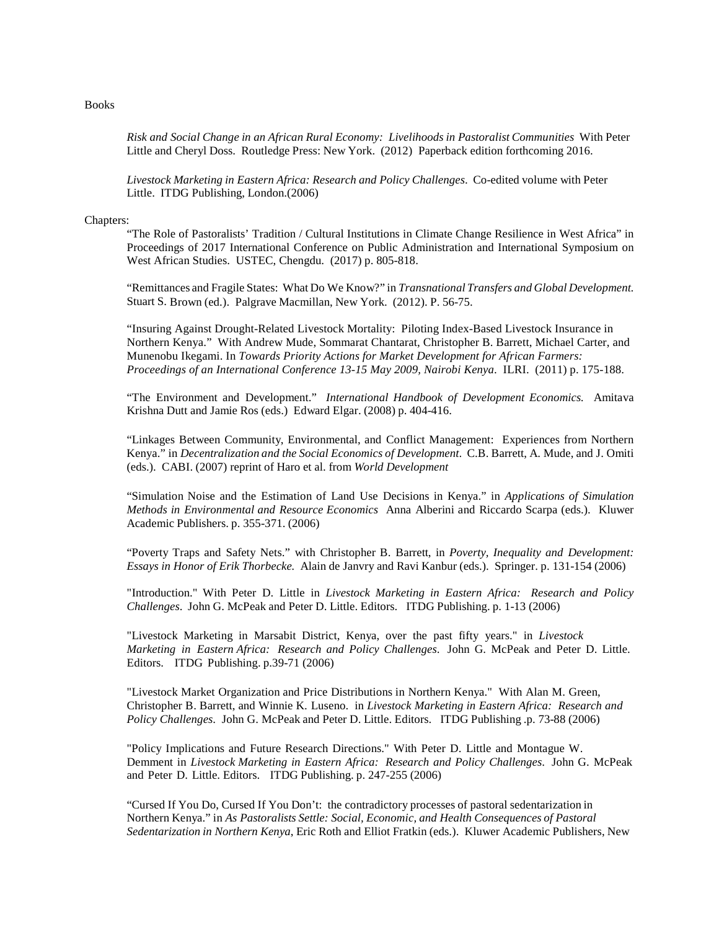#### Books

*Risk and Social Change in an African Rural Economy: Livelihoods in Pastoralist Communities* With Peter Little and Cheryl Doss. Routledge Press: New York. (2012) Paperback edition forthcoming 2016.

*Livestock Marketing in Eastern Africa: Research and Policy Challenges*. Co-edited volume with Peter Little. ITDG Publishing, London.(2006)

## Chapters:

"The Role of Pastoralists' Tradition / Cultural Institutions in Climate Change Resilience in West Africa" in Proceedings of 2017 International Conference on Public Administration and International Symposium on West African Studies. USTEC, Chengdu. (2017) p. 805-818.

"Remittances and Fragile States: What Do We Know?" in *Transnational Transfers and Global Development.* Stuart S. Brown (ed.). Palgrave Macmillan, New York. (2012). P. 56-75.

"Insuring Against Drought-Related Livestock Mortality: Piloting Index-Based Livestock Insurance in Northern Kenya." With Andrew Mude, Sommarat Chantarat, Christopher B. Barrett, Michael Carter, and Munenobu Ikegami. In *Towards Priority Actions for Market Development for African Farmers: Proceedings of an International Conference 13-15 May 2009, Nairobi Kenya*. ILRI. (2011) p. 175-188.

"The Environment and Development." *International Handbook of Development Economics.* Amitava Krishna Dutt and Jamie Ros (eds.) Edward Elgar. (2008) p. 404-416.

"Linkages Between Community, Environmental, and Conflict Management: Experiences from Northern Kenya." in *Decentralization and the Social Economics of Development*. C.B. Barrett, A. Mude, and J. Omiti (eds.). CABI. (2007) reprint of Haro et al. from *World Development*

"Simulation Noise and the Estimation of Land Use Decisions in Kenya." in *Applications of Simulation Methods in Environmental and Resource Economics* Anna Alberini and Riccardo Scarpa (eds.). Kluwer Academic Publishers. p. 355-371. (2006)

"Poverty Traps and Safety Nets." with Christopher B. Barrett, in *Poverty, Inequality and Development: Essays in Honor of Erik Thorbecke.* Alain de Janvry and Ravi Kanbur (eds.). Springer. p. 131-154 (2006)

"Introduction." With Peter D. Little in *Livestock Marketing in Eastern Africa: Research and Policy Challenges*. John G. McPeak and Peter D. Little. Editors. ITDG Publishing. p. 1-13 (2006)

"Livestock Marketing in Marsabit District, Kenya, over the past fifty years." in *Livestock Marketing in Eastern Africa: Research and Policy Challenges*. John G. McPeak and Peter D. Little. Editors. ITDG Publishing. p.39-71 (2006)

"Livestock Market Organization and Price Distributions in Northern Kenya." With Alan M. Green, Christopher B. Barrett, and Winnie K. Luseno. in *Livestock Marketing in Eastern Africa: Research and Policy Challenges*. John G. McPeak and Peter D. Little. Editors. ITDG Publishing .p. 73-88 (2006)

"Policy Implications and Future Research Directions." With Peter D. Little and Montague W. Demment in *Livestock Marketing in Eastern Africa: Research and Policy Challenges*. John G. McPeak and Peter D. Little. Editors. ITDG Publishing. p. 247-255 (2006)

"Cursed If You Do, Cursed If You Don't: the contradictory processes of pastoral sedentarization in Northern Kenya." in *As Pastoralists Settle: Social, Economic, and Health Consequences of Pastoral Sedentarization in Northern Kenya*, Eric Roth and Elliot Fratkin (eds.). Kluwer Academic Publishers, New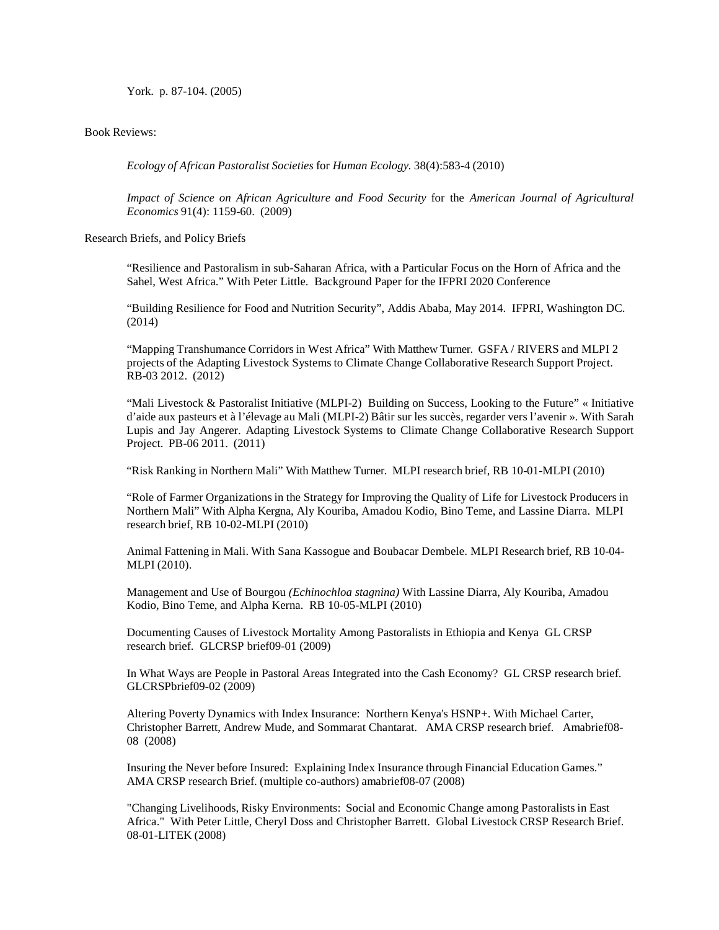York. p. 87-104. (2005)

Book Reviews:

*Ecology of African Pastoralist Societies* for *Human Ecology.* 38(4):583-4 (2010)

*Impact of Science on African Agriculture and Food Security* for the *American Journal of Agricultural Economics* 91(4): 1159-60. (2009)

Research Briefs, and Policy Briefs

"Resilience and Pastoralism in sub-Saharan Africa, with a Particular Focus on the Horn of Africa and the Sahel, West Africa." With Peter Little. Background Paper for the IFPRI 2020 Conference

"Building Resilience for Food and Nutrition Security", Addis Ababa, May 2014. IFPRI, Washington DC. (2014)

"Mapping Transhumance Corridors in West Africa" With Matthew Turner. GSFA / RIVERS and MLPI 2 projects of the Adapting Livestock Systems to Climate Change Collaborative Research Support Project. RB-03 2012. (2012)

"Mali Livestock & Pastoralist Initiative (MLPI-2) Building on Success, Looking to the Future" « Initiative d'aide aux pasteurs et à l'élevage au Mali (MLPI-2) Bâtir sur les succès, regarder vers l'avenir ». With Sarah Lupis and Jay Angerer. Adapting Livestock Systems to Climate Change Collaborative Research Support Project. PB-06 2011. (2011)

"Risk Ranking in Northern Mali" With Matthew Turner. MLPI research brief, RB 10-01-MLPI (2010)

"Role of Farmer Organizations in the Strategy for Improving the Quality of Life for Livestock Producers in Northern Mali" With Alpha Kergna, Aly Kouriba, Amadou Kodio, Bino Teme, and Lassine Diarra. MLPI research brief, RB 10-02-MLPI (2010)

Animal Fattening in Mali. With Sana Kassogue and Boubacar Dembele. MLPI Research brief, RB 10-04- MLPI (2010).

Management and Use of Bourgou *(Echinochloa stagnina)* With Lassine Diarra, Aly Kouriba, Amadou Kodio, Bino Teme, and Alpha Kerna. RB 10-05-MLPI (2010)

Documenting Causes of Livestock Mortality Among Pastoralists in Ethiopia and Kenya GL CRSP research brief. GLCRSP brief09-01 (2009)

In What Ways are People in Pastoral Areas Integrated into the Cash Economy? GL CRSP research brief. GLCRSPbrief09-02 (2009)

Altering Poverty Dynamics with Index Insurance: Northern Kenya's HSNP+. With Michael Carter, Christopher Barrett, Andrew Mude, and Sommarat Chantarat. AMA CRSP research brief. Amabrief08- 08 (2008)

Insuring the Never before Insured: Explaining Index Insurance through Financial Education Games." AMA CRSP research Brief. (multiple co-authors) amabrief08-07 (2008)

"Changing Livelihoods, Risky Environments: Social and Economic Change among Pastoralists in East Africa." With Peter Little, Cheryl Doss and Christopher Barrett. Global Livestock CRSP Research Brief. 08-01-LITEK (2008)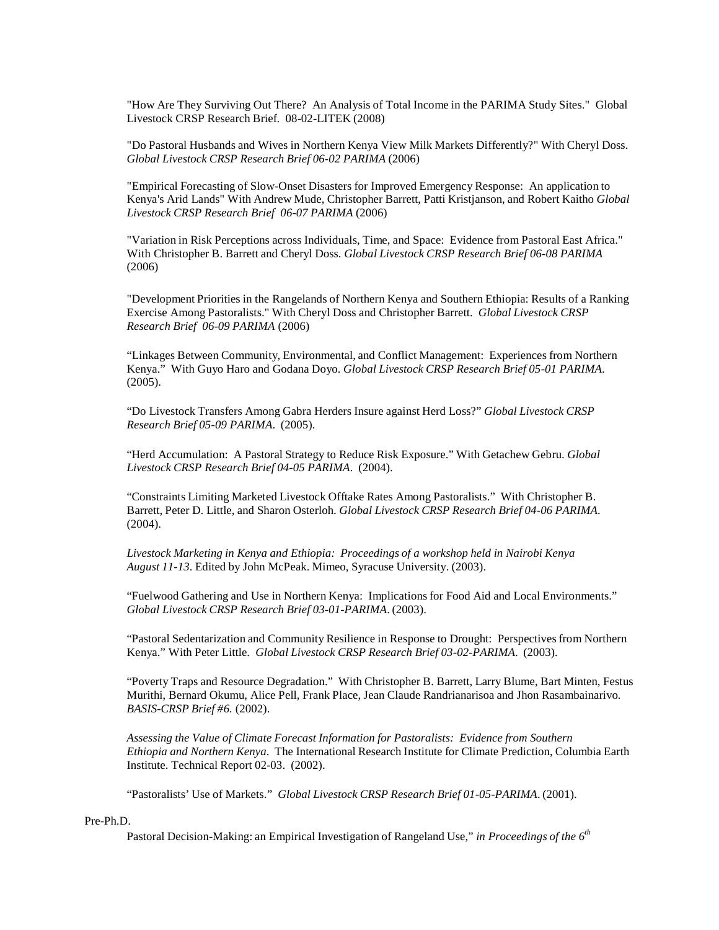"How Are They Surviving Out There? An Analysis of Total Income in the PARIMA Study Sites." Global Livestock CRSP Research Brief. 08-02-LITEK (2008)

"Do Pastoral Husbands and Wives in Northern Kenya View Milk Markets Differently?" With Cheryl Doss. *Global Livestock CRSP Research Brief 06-02 PARIMA* (2006)

"Empirical Forecasting of Slow-Onset Disasters for Improved Emergency Response: An application to Kenya's Arid Lands" With Andrew Mude, Christopher Barrett, Patti Kristjanson, and Robert Kaitho *Global Livestock CRSP Research Brief 06-07 PARIMA* (2006)

"Variation in Risk Perceptions across Individuals, Time, and Space: Evidence from Pastoral East Africa." With Christopher B. Barrett and Cheryl Doss. *Global Livestock CRSP Research Brief 06-08 PARIMA* (2006)

"Development Priorities in the Rangelands of Northern Kenya and Southern Ethiopia: Results of a Ranking Exercise Among Pastoralists." With Cheryl Doss and Christopher Barrett. *Global Livestock CRSP Research Brief 06-09 PARIMA* (2006)

"Linkages Between Community, Environmental, and Conflict Management: Experiences from Northern Kenya." With Guyo Haro and Godana Doyo. *Global Livestock CRSP Research Brief 05-01 PARIMA*. (2005).

"Do Livestock Transfers Among Gabra Herders Insure against Herd Loss?" *Global Livestock CRSP Research Brief 05-09 PARIMA*. (2005).

"Herd Accumulation: A Pastoral Strategy to Reduce Risk Exposure." With Getachew Gebru. *Global Livestock CRSP Research Brief 04-05 PARIMA*. (2004).

"Constraints Limiting Marketed Livestock Offtake Rates Among Pastoralists." With Christopher B. Barrett, Peter D. Little, and Sharon Osterloh. *Global Livestock CRSP Research Brief 04-06 PARIMA*. (2004).

*Livestock Marketing in Kenya and Ethiopia: Proceedings of a workshop held in Nairobi Kenya August 11-13*. Edited by John McPeak. Mimeo, Syracuse University. (2003).

"Fuelwood Gathering and Use in Northern Kenya: Implications for Food Aid and Local Environments." *Global Livestock CRSP Research Brief 03-01-PARIMA*. (2003).

"Pastoral Sedentarization and Community Resilience in Response to Drought: Perspectives from Northern Kenya." With Peter Little. *Global Livestock CRSP Research Brief 03-02-PARIMA*. (2003).

"Poverty Traps and Resource Degradation." With Christopher B. Barrett, Larry Blume, Bart Minten, Festus Murithi, Bernard Okumu, Alice Pell, Frank Place, Jean Claude Randrianarisoa and Jhon Rasambainarivo*. BASIS-CRSP Brief #6.* (2002).

*Assessing the Value of Climate Forecast Information for Pastoralists: Evidence from Southern Ethiopia and Northern Kenya*. The International Research Institute for Climate Prediction, Columbia Earth Institute. Technical Report 02-03. (2002).

"Pastoralists' Use of Markets." *Global Livestock CRSP Research Brief 01-05-PARIMA*. (2001).

### Pre-Ph.D.

Pastoral Decision-Making: an Empirical Investigation of Rangeland Use," *in Proceedings of the 6th*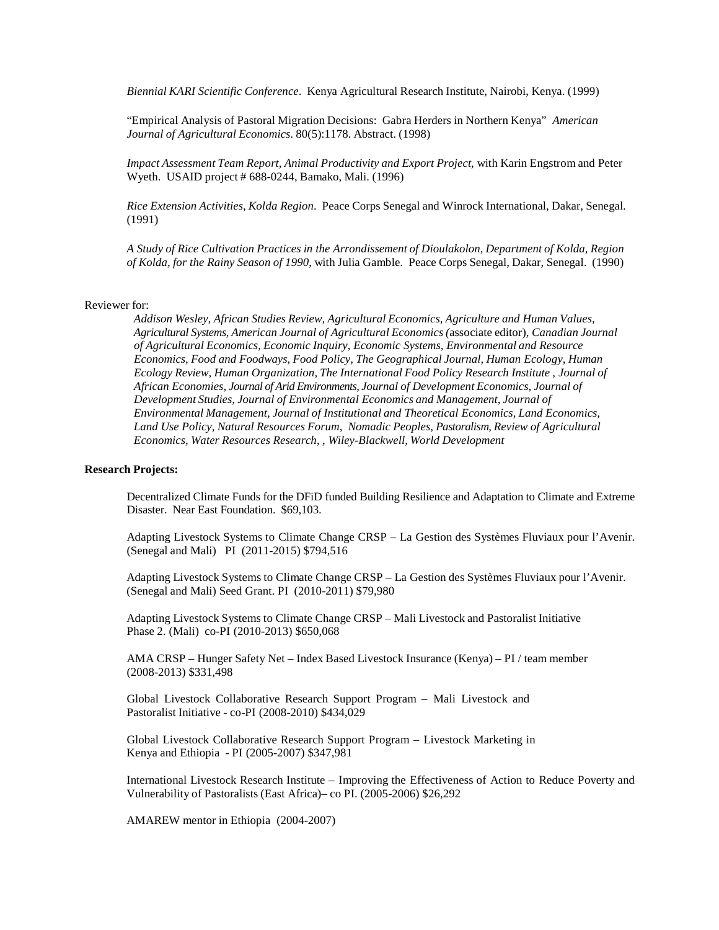*Biennial KARI Scientific Conference*. Kenya Agricultural Research Institute, Nairobi, Kenya. (1999)

"Empirical Analysis of Pastoral Migration Decisions: Gabra Herders in Northern Kenya" *American Journal of Agricultural Economics*. 80(5):1178. Abstract. (1998)

*Impact Assessment Team Report, Animal Productivity and Export Project*, with Karin Engstrom and Peter Wyeth. USAID project # 688-0244, Bamako, Mali. (1996)

*Rice Extension Activities, Kolda Region*. Peace Corps Senegal and Winrock International, Dakar, Senegal. (1991)

*A Study of Rice Cultivation Practices in the Arrondissement of Dioulakolon, Department of Kolda, Region of Kolda, for the Rainy Season of 1990*, with Julia Gamble. Peace Corps Senegal, Dakar, Senegal. (1990)

## Reviewer for:

*Addison Wesley, African Studies Review, Agricultural Economics, Agriculture and Human Values, Agricultural Systems, American Journal of Agricultural Economics (*associate editor)*, Canadian Journal of Agricultural Economics, Economic Inquiry, Economic Systems, Environmental and Resource Economics, Food and Foodways, Food Policy, The Geographical Journal, Human Ecology, Human Ecology Review, Human Organization, The International Food Policy Research Institute , Journal of African Economies, Journal of Arid Environments, Journal of Development Economics, Journal of Development Studies, Journal of Environmental Economics and Management, Journal of Environmental Management, Journal of Institutional and Theoretical Economics, Land Economics, Land Use Policy, Natural Resources Forum, Nomadic Peoples, Pastoralism, Review of Agricultural Economics, Water Resources Research, , Wiley-Blackwell, World Development*

#### **Research Projects:**

Decentralized Climate Funds for the DFiD funded Building Resilience and Adaptation to Climate and Extreme Disaster. Near East Foundation. \$69,103.

Adapting Livestock Systems to Climate Change CRSP – La Gestion des Systèmes Fluviaux pour l'Avenir. (Senegal and Mali) PI (2011-2015) \$794,516

Adapting Livestock Systems to Climate Change CRSP – La Gestion des Systèmes Fluviaux pour l'Avenir. (Senegal and Mali) Seed Grant. PI (2010-2011) \$79,980

Adapting Livestock Systems to Climate Change CRSP – Mali Livestock and Pastoralist Initiative Phase 2. (Mali) co-PI (2010-2013) \$650,068

AMA CRSP – Hunger Safety Net – Index Based Livestock Insurance (Kenya) – PI / team member (2008-2013) \$331,498

Global Livestock Collaborative Research Support Program – Mali Livestock and Pastoralist Initiative - co-PI (2008-2010) \$434,029

Global Livestock Collaborative Research Support Program – Livestock Marketing in Kenya and Ethiopia - PI (2005-2007) \$347,981

International Livestock Research Institute – Improving the Effectiveness of Action to Reduce Poverty and Vulnerability of Pastoralists (East Africa)– co PI. (2005-2006) \$26,292

AMAREW mentor in Ethiopia (2004-2007)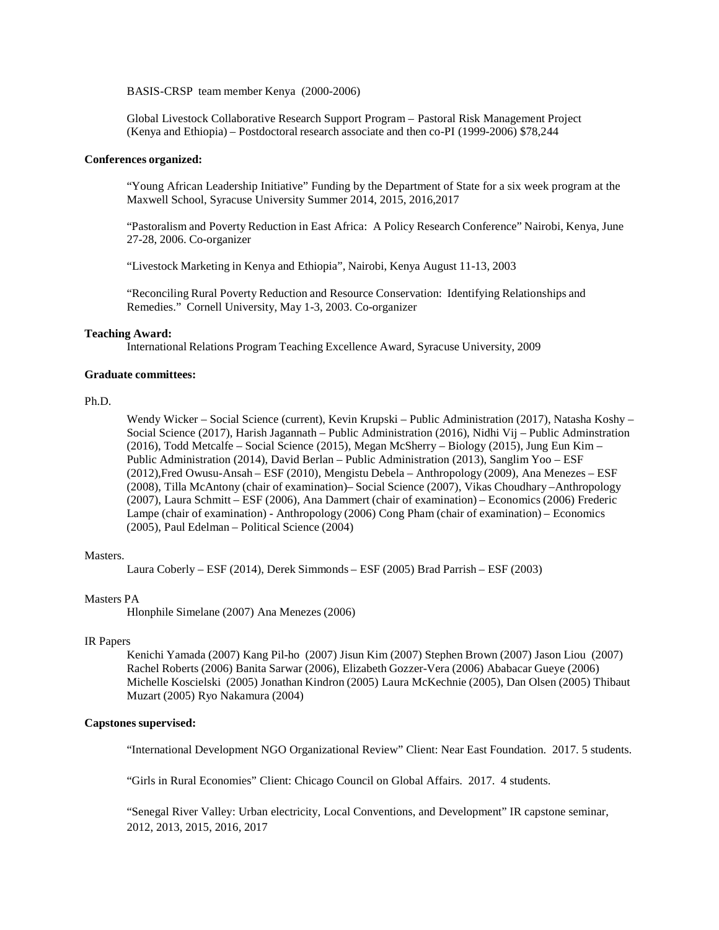BASIS-CRSP team member Kenya (2000-2006)

Global Livestock Collaborative Research Support Program – Pastoral Risk Management Project (Kenya and Ethiopia) – Postdoctoral research associate and then co-PI (1999-2006) \$78,244

#### **Conferences organized:**

"Young African Leadership Initiative" Funding by the Department of State for a six week program at the Maxwell School, Syracuse University Summer 2014, 2015, 2016,2017

"Pastoralism and Poverty Reduction in East Africa: A Policy Research Conference" Nairobi, Kenya, June 27-28, 2006. Co-organizer

"Livestock Marketing in Kenya and Ethiopia", Nairobi, Kenya August 11-13, 2003

"Reconciling Rural Poverty Reduction and Resource Conservation: Identifying Relationships and Remedies." Cornell University, May 1-3, 2003. Co-organizer

## **Teaching Award:**

International Relations Program Teaching Excellence Award, Syracuse University, 2009

## **Graduate committees:**

## Ph.D.

Wendy Wicker – Social Science (current), Kevin Krupski – Public Administration (2017), Natasha Koshy – Social Science (2017), Harish Jagannath – Public Administration (2016), Nidhi Vij – Public Adminstration (2016), Todd Metcalfe – Social Science (2015), Megan McSherry – Biology (2015), Jung Eun Kim – Public Administration (2014), David Berlan – Public Administration (2013), Sanglim Yoo – ESF (2012),Fred Owusu-Ansah – ESF (2010), Mengistu Debela – Anthropology (2009), Ana Menezes – ESF (2008), Tilla McAntony (chair of examination)– Social Science (2007), Vikas Choudhary –Anthropology (2007), Laura Schmitt – ESF (2006), Ana Dammert (chair of examination) – Economics (2006) Frederic Lampe (chair of examination) - Anthropology (2006) Cong Pham (chair of examination) – Economics (2005), Paul Edelman – Political Science (2004)

## Masters.

Laura Coberly – ESF (2014), Derek Simmonds – ESF (2005) Brad Parrish – ESF (2003)

## Masters PA

Hlonphile Simelane (2007) Ana Menezes (2006)

### IR Papers

Kenichi Yamada (2007) Kang Pil-ho (2007) Jisun Kim (2007) Stephen Brown (2007) Jason Liou (2007) Rachel Roberts (2006) Banita Sarwar (2006), Elizabeth Gozzer-Vera (2006) Ababacar Gueye (2006) Michelle Koscielski (2005) Jonathan Kindron (2005) Laura McKechnie (2005), Dan Olsen (2005) Thibaut Muzart (2005) Ryo Nakamura (2004)

## **Capstones supervised:**

"International Development NGO Organizational Review" Client: Near East Foundation. 2017. 5 students.

"Girls in Rural Economies" Client: Chicago Council on Global Affairs. 2017. 4 students.

"Senegal River Valley: Urban electricity, Local Conventions, and Development" IR capstone seminar, 2012, 2013, 2015, 2016, 2017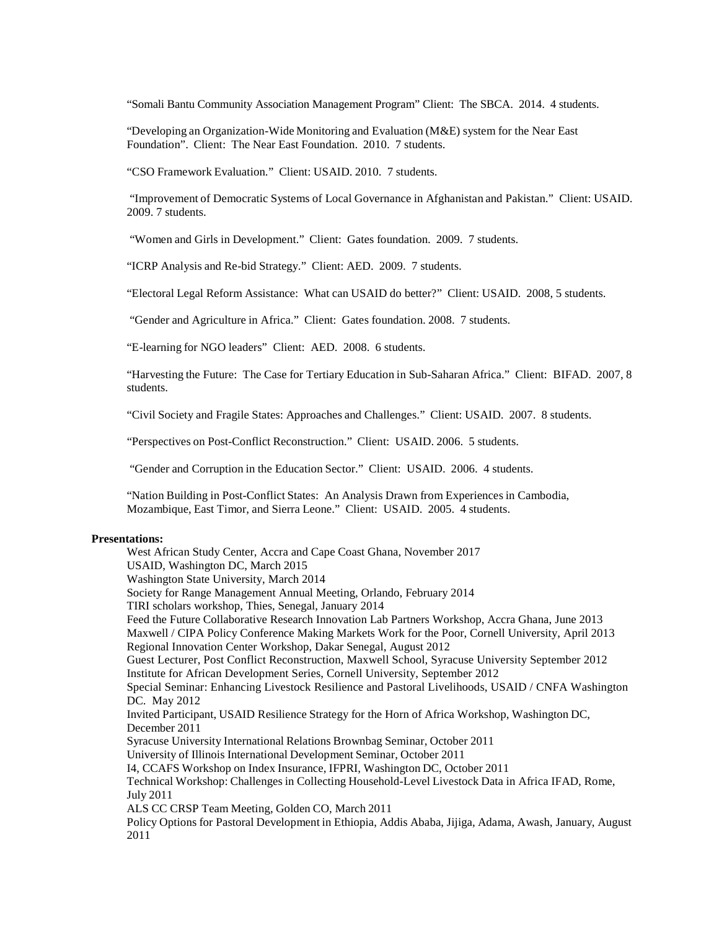"Somali Bantu Community Association Management Program" Client: The SBCA. 2014. 4 students.

"Developing an Organization-Wide Monitoring and Evaluation (M&E) system for the Near East Foundation". Client: The Near East Foundation. 2010. 7 students.

"CSO Framework Evaluation." Client: USAID. 2010. 7 students.

"Improvement of Democratic Systems of Local Governance in Afghanistan and Pakistan." Client: USAID. 2009. 7 students.

"Women and Girls in Development." Client: Gates foundation. 2009. 7 students.

"ICRP Analysis and Re-bid Strategy." Client: AED. 2009. 7 students.

"Electoral Legal Reform Assistance: What can USAID do better?" Client: USAID. 2008, 5 students.

"Gender and Agriculture in Africa." Client: Gates foundation. 2008. 7 students.

"E-learning for NGO leaders" Client: AED. 2008. 6 students.

"Harvesting the Future: The Case for Tertiary Education in Sub-Saharan Africa." Client: BIFAD. 2007, 8 students.

"Civil Society and Fragile States: Approaches and Challenges." Client: USAID. 2007. 8 students.

"Perspectives on Post-Conflict Reconstruction." Client: USAID. 2006. 5 students.

"Gender and Corruption in the Education Sector." Client: USAID. 2006. 4 students.

"Nation Building in Post-Conflict States: An Analysis Drawn from Experiences in Cambodia, Mozambique, East Timor, and Sierra Leone." Client: USAID. 2005. 4 students.

#### **Presentations:**

West African Study Center, Accra and Cape Coast Ghana, November 2017 USAID, Washington DC, March 2015 Washington State University, March 2014 Society for Range Management Annual Meeting, Orlando, February 2014 TIRI scholars workshop, Thies, Senegal, January 2014 Feed the Future Collaborative Research Innovation Lab Partners Workshop, Accra Ghana, June 2013 Maxwell / CIPA Policy Conference Making Markets Work for the Poor, Cornell University, April 2013 Regional Innovation Center Workshop, Dakar Senegal, August 2012 Guest Lecturer, Post Conflict Reconstruction, Maxwell School, Syracuse University September 2012 Institute for African Development Series, Cornell University, September 2012 Special Seminar: Enhancing Livestock Resilience and Pastoral Livelihoods, USAID / CNFA Washington DC. May 2012 Invited Participant, USAID Resilience Strategy for the Horn of Africa Workshop, Washington DC, December 2011 Syracuse University International Relations Brownbag Seminar, October 2011 University of Illinois International Development Seminar, October 2011 I4, CCAFS Workshop on Index Insurance, IFPRI, Washington DC, October 2011 Technical Workshop: Challenges in Collecting Household-Level Livestock Data in Africa IFAD, Rome, July 2011 ALS CC CRSP Team Meeting, Golden CO, March 2011 Policy Options for Pastoral Development in Ethiopia, Addis Ababa, Jijiga, Adama, Awash, January, August 2011